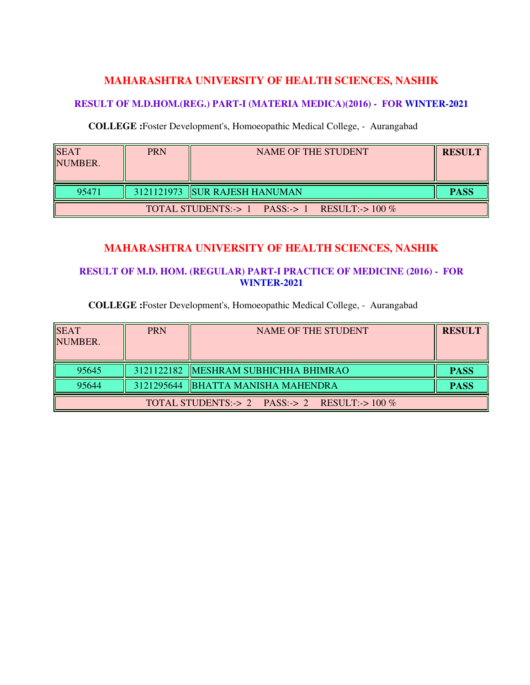## **MAHARASHTRA UNIVERSITY OF HEALTH SCIENCES, NASHIK**

### **RESULT OF M.D.HOM.(REG.) PART-I (MATERIA MEDICA)(2016) - FOR WINTER-2021**

#### **COLLEGE :**Foster Development's, Homoeopathic Medical College, - Aurangabad

| <b>SEAT</b><br>NUMBER. | <b>PRN</b> | NAME OF THE STUDENT                           | <b>RESULT</b> |
|------------------------|------------|-----------------------------------------------|---------------|
| 95471                  |            | 3121121973 SUR RAJESH HANUMAN                 | <b>PASS</b>   |
|                        |            | TOTAL STUDENTS:-> 1 PASS:-> 1 RESULT:-> 100 % |               |

# **MAHARASHTRA UNIVERSITY OF HEALTH SCIENCES, NASHIK**

### **RESULT OF M.D. HOM. (REGULAR) PART-I PRACTICE OF MEDICINE (2016) - FOR WINTER-2021**

### **COLLEGE :**Foster Development's, Homoeopathic Medical College, - Aurangabad

| <b>SEAT</b><br>NUMBER.                          | <b>PRN</b> | <b>NAME OF THE STUDENT</b>            | <b>RESULT</b> |  |
|-------------------------------------------------|------------|---------------------------------------|---------------|--|
| 95645                                           |            | 3121122182  MESHRAM SUBHICHHA BHIMRAO | <b>PASS</b>   |  |
| 95644                                           |            | 3121295644  BHATTA MANISHA MAHENDRA   | <b>PASS</b>   |  |
| TOTAL STUDENTS:-> 2 PASS:-> 2 RESULT:-> $100\%$ |            |                                       |               |  |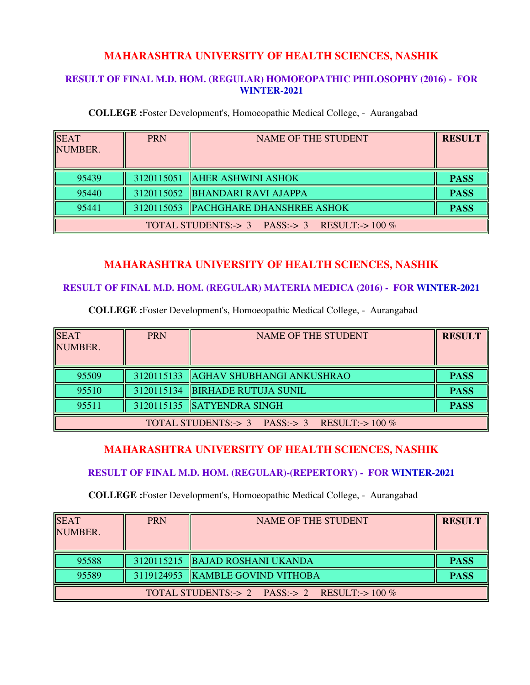## **MAHARASHTRA UNIVERSITY OF HEALTH SCIENCES, NASHIK**

#### **RESULT OF FINAL M.D. HOM. (REGULAR) HOMOEOPATHIC PHILOSOPHY (2016) - FOR WINTER-2021**

**COLLEGE :**Foster Development's, Homoeopathic Medical College, - Aurangabad

| <b>SEAT</b><br>NUMBER.                        | <b>PRN</b> | <b>NAME OF THE STUDENT</b>            | <b>RESULT</b> |
|-----------------------------------------------|------------|---------------------------------------|---------------|
| 95439                                         |            | 3120115051   AHER ASHWINI ASHOK       | <b>PASS</b>   |
| 95440                                         |            | 3120115052 BHANDARI RAVI AJAPPA       | <b>PASS</b>   |
| 95441                                         |            | 3120115053  PACHGHARE DHANSHREE ASHOK | <b>PASS</b>   |
| TOTAL STUDENTS:-> 3 PASS:-> 3 RESULT:-> 100 % |            |                                       |               |

# **MAHARASHTRA UNIVERSITY OF HEALTH SCIENCES, NASHIK**

### **RESULT OF FINAL M.D. HOM. (REGULAR) MATERIA MEDICA (2016) - FOR WINTER-2021**

**COLLEGE :**Foster Development's, Homoeopathic Medical College, - Aurangabad

| <b>SEAT</b><br>NUMBER.                        | <b>PRN</b> | NAME OF THE STUDENT                    | <b>RESULT</b> |
|-----------------------------------------------|------------|----------------------------------------|---------------|
| 95509                                         |            | 3120115133   AGHAV SHUBHANGI ANKUSHRAO | <b>PASS</b>   |
| 95510                                         |            | 3120115134 BIRHADE RUTUJA SUNIL        | <b>PASS</b>   |
| 95511                                         |            | 3120115135 SATYENDRA SINGH             | <b>PASS</b>   |
| TOTAL STUDENTS:-> 3 PASS:-> 3 RESULT:-> 100 % |            |                                        |               |

## **MAHARASHTRA UNIVERSITY OF HEALTH SCIENCES, NASHIK**

#### **RESULT OF FINAL M.D. HOM. (REGULAR)-(REPERTORY) - FOR WINTER-2021**

**COLLEGE :**Foster Development's, Homoeopathic Medical College, - Aurangabad

| <b>SEAT</b><br>NUMBER.                        | <b>PRN</b> | NAME OF THE STUDENT                | <b>RESULT</b> |
|-----------------------------------------------|------------|------------------------------------|---------------|
| 95588                                         |            | 3120115215 BAJAD ROSHANI UKANDA    | <b>PASS</b>   |
| 95589                                         |            | 3119124953   KAMBLE GOVIND VITHOBA | <b>PASS</b>   |
| TOTAL STUDENTS:-> 2 PASS:-> 2 RESULT:-> 100 % |            |                                    |               |